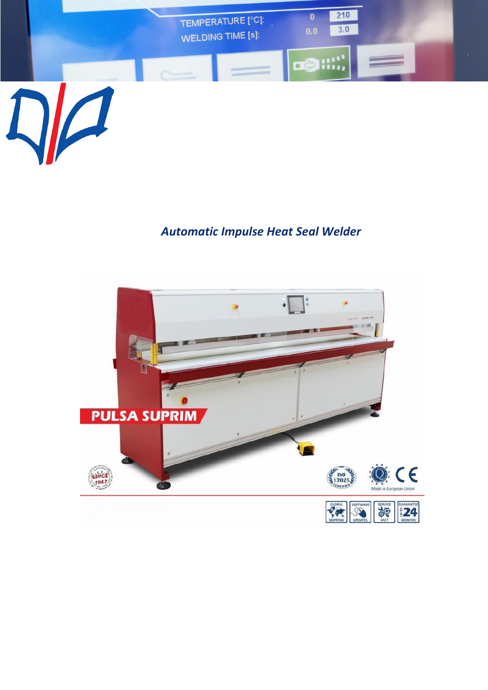

## *Automatic Impulse Heat Seal Welder*